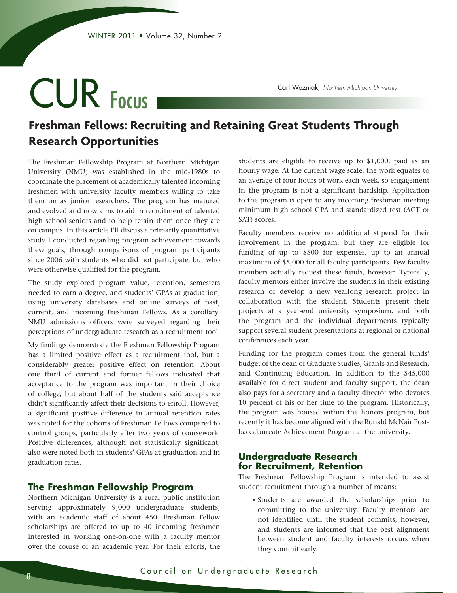# CUR Focus

Carl Wozniak, *Northern Michigan University*

# **Freshman Fellows: Recruiting and Retaining Great Students Through Research Opportunities**

The Freshman Fellowship Program at Northern Michigan University (NMU) was established in the mid-1980s to coordinate the placement of academically talented incoming freshmen with university faculty members willing to take them on as junior researchers. The program has matured and evolved and now aims to aid in recruitment of talented high school seniors and to help retain them once they are on campus. In this article I'll discuss a primarily quantitative study I conducted regarding program achievement towards these goals, through comparisons of program participants since 2006 with students who did not participate, but who were otherwise qualified for the program.

The study explored program value, retention, semesters needed to earn a degree, and students' GPAs at graduation, using university databases and online surveys of past, current, and incoming Freshman Fellows. As a corollary, NMU admissions officers were surveyed regarding their perceptions of undergraduate research as a recruitment tool.

My findings demonstrate the Freshman Fellowship Program has a limited positive effect as a recruitment tool, but a considerably greater positive effect on retention. About one third of current and former fellows indicated that acceptance to the program was important in their choice of college, but about half of the students said acceptance didn't significantly affect their decisions to enroll. However, a significant positive difference in annual retention rates was noted for the cohorts of Freshman Fellows compared to control groups, particularly after two years of coursework. Positive differences, although not statistically significant, also were noted both in students' GPAs at graduation and in graduation rates.

# **The Freshman Fellowship Program**

Northern Michigan University is a rural public institution serving approximately 9,000 undergraduate students, with an academic staff of about 450. Freshman Fellow scholarships are offered to up to 40 incoming freshmen interested in working one-on-one with a faculty mentor over the course of an academic year. For their efforts, the

students are eligible to receive up to \$1,000, paid as an hourly wage. At the current wage scale, the work equates to an average of four hours of work each week, so engagement in the program is not a significant hardship. Application to the program is open to any incoming freshman meeting minimum high school GPA and standardized test (ACT or SAT) scores.

Faculty members receive no additional stipend for their involvement in the program, but they are eligible for funding of up to \$500 for expenses, up to an annual maximum of \$5,000 for all faculty participants. Few faculty members actually request these funds, however. Typically, faculty mentors either involve the students in their existing research or develop a new yearlong research project in collaboration with the student. Students present their projects at a year-end university symposium, and both the program and the individual departments typically support several student presentations at regional or national conferences each year.

Funding for the program comes from the general funds' budget of the dean of Graduate Studies, Grants and Research, and Continuing Education. In addition to the \$45,000 available for direct student and faculty support, the dean also pays for a secretary and a faculty director who devotes 10 percent of his or her time to the program. Historically, the program was housed within the honors program, but recently it has become aligned with the Ronald McNair Postbaccalaureate Achievement Program at the university.

# **Undergraduate Research for Recruitment, Retention**

The Freshman Fellowship Program is intended to assist student recruitment through a number of means:

 • Students are awarded the scholarships prior to committing to the university. Faculty mentors are not identified until the student commits, however, and students are informed that the best alignment between student and faculty interests occurs when they commit early.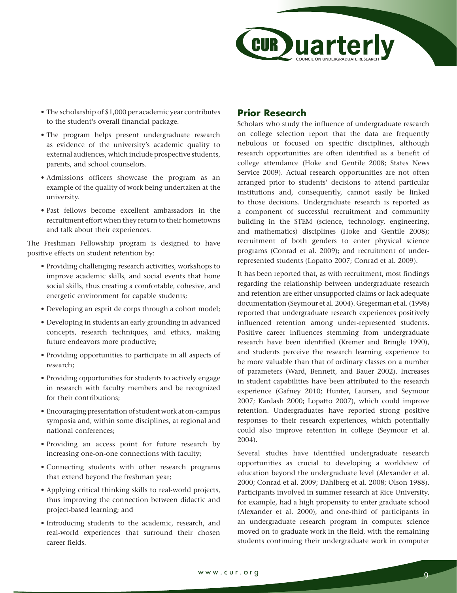

- The scholarship of \$1,000 per academic year contributes to the student's overall financial package.
- The program helps present undergraduate research as evidence of the university's academic quality to external audiences, which include prospective students, parents, and school counselors.
- Admissions officers showcase the program as an example of the quality of work being undertaken at the university.
- Past fellows become excellent ambassadors in the recruitment effort when they return to their hometowns and talk about their experiences.

The Freshman Fellowship program is designed to have positive effects on student retention by:

- Providing challenging research activities, workshops to improve academic skills, and social events that hone social skills, thus creating a comfortable, cohesive, and energetic environment for capable students;
- Developing an esprit de corps through a cohort model;
- Developing in students an early grounding in advanced concepts, research techniques, and ethics, making future endeavors more productive;
- Providing opportunities to participate in all aspects of research;
- Providing opportunities for students to actively engage in research with faculty members and be recognized for their contributions;
- Encouraging presentation of student work at on-campus symposia and, within some disciplines, at regional and national conferences;
- Providing an access point for future research by increasing one-on-one connections with faculty;
- Connecting students with other research programs that extend beyond the freshman year;
- Applying critical thinking skills to real-world projects, thus improving the connection between didactic and project-based learning; and
- Introducing students to the academic, research, and real-world experiences that surround their chosen career fields.

# **Prior Research**

Scholars who study the influence of undergraduate research on college selection report that the data are frequently nebulous or focused on specific disciplines, although research opportunities are often identified as a benefit of college attendance (Hoke and Gentile 2008; States News Service 2009). Actual research opportunities are not often arranged prior to students' decisions to attend particular institutions and, consequently, cannot easily be linked to those decisions. Undergraduate research is reported as a component of successful recruitment and community building in the STEM (science, technology, engineering, and mathematics) disciplines (Hoke and Gentile 2008); recruitment of both genders to enter physical science programs (Conrad et al. 2009); and recruitment of underrepresented students (Lopatto 2007; Conrad et al. 2009).

It has been reported that, as with recruitment, most findings regarding the relationship between undergraduate research and retention are either unsupported claims or lack adequate documentation (Seymour et al. 2004). Gregerman et al. (1998) reported that undergraduate research experiences positively influenced retention among under-represented students. Positive career influences stemming from undergraduate research have been identified (Kremer and Bringle 1990), and students perceive the research learning experience to be more valuable than that of ordinary classes on a number of parameters (Ward, Bennett, and Bauer 2002). Increases in student capabilities have been attributed to the research experience (Gafney 2010; Hunter, Laursen, and Seymour 2007; Kardash 2000; Lopatto 2007), which could improve retention. Undergraduates have reported strong positive responses to their research experiences, which potentially could also improve retention in college (Seymour et al. 2004).

Several studies have identified undergraduate research opportunities as crucial to developing a worldview of education beyond the undergraduate level (Alexander et al. 2000; Conrad et al. 2009; Dahlberg et al. 2008; Olson 1988). Participants involved in summer research at Rice University, for example, had a high propensity to enter graduate school (Alexander et al. 2000), and one-third of participants in an undergraduate research program in computer science moved on to graduate work in the field, with the remaining students continuing their undergraduate work in computer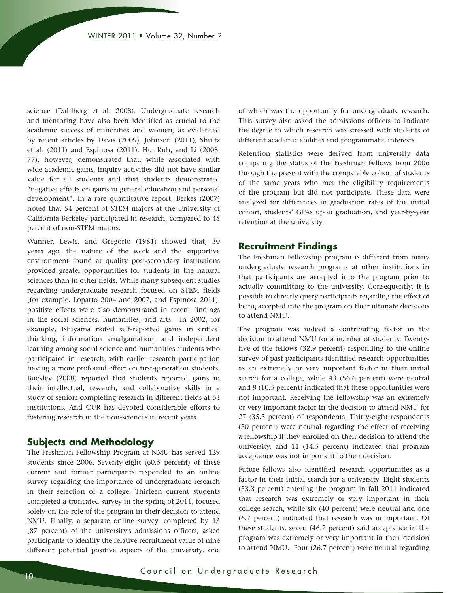science (Dahlberg et al. 2008). Undergraduate research and mentoring have also been identified as crucial to the academic success of minorities and women, as evidenced by recent articles by Davis (2009), Johnson (2011), Shultz et al. (2011) and Espinosa (2011). Hu, Kuh, and Li (2008, 77), however, demonstrated that, while associated with wide academic gains, inquiry activities did not have similar value for all students and that students demonstrated "negative effects on gains in general education and personal development". In a rare quantitative report, Berkes (2007) noted that 54 percent of STEM majors at the University of California-Berkeley participated in research, compared to 45 percent of non-STEM majors.

Wanner, Lewis, and Gregorio (1981) showed that, 30 years ago, the nature of the work and the supportive environment found at quality post-secondary institutions provided greater opportunities for students in the natural sciences than in other fields. While many subsequent studies regarding undergraduate research focused on STEM fields (for example, Lopatto 2004 and 2007, and Espinosa 2011), positive effects were also demonstrated in recent findings in the social sciences, humanities, and arts. In 2002, for example, Ishiyama noted self-reported gains in critical thinking, information amalgamation, and independent learning among social science and humanities students who participated in research, with earlier research participation having a more profound effect on first-generation students. Buckley (2008) reported that students reported gains in their intellectual, research, and collaborative skills in a study of seniors completing research in different fields at 63 institutions. And CUR has devoted considerable efforts to fostering research in the non-sciences in recent years.

# **Subjects and Methodology**

The Freshman Fellowship Program at NMU has served 129 students since 2006. Seventy-eight (60.5 percent) of these current and former participants responded to an online survey regarding the importance of undergraduate research in their selection of a college. Thirteen current students completed a truncated survey in the spring of 2011, focused solely on the role of the program in their decision to attend NMU. Finally, a separate online survey, completed by 13 (87 percent) of the university's admissions officers, asked participants to identify the relative recruitment value of nine different potential positive aspects of the university, one

of which was the opportunity for undergraduate research. This survey also asked the admissions officers to indicate the degree to which research was stressed with students of different academic abilities and programmatic interests.

Retention statistics were derived from university data comparing the status of the Freshman Fellows from 2006 through the present with the comparable cohort of students of the same years who met the eligibility requirements of the program but did not participate. These data were analyzed for differences in graduation rates of the initial cohort, students' GPAs upon graduation, and year-by-year retention at the university.

# **Recruitment Findings**

The Freshman Fellowship program is different from many undergraduate research programs at other institutions in that participants are accepted into the program prior to actually committing to the university. Consequently, it is possible to directly query participants regarding the effect of being accepted into the program on their ultimate decisions to attend NMU.

The program was indeed a contributing factor in the decision to attend NMU for a number of students. Twentyfive of the fellows (32.9 percent) responding to the online survey of past participants identified research opportunities as an extremely or very important factor in their initial search for a college, while 43 (56.6 percent) were neutral and 8 (10.5 percent) indicated that these opportunities were not important. Receiving the fellowship was an extremely or very important factor in the decision to attend NMU for 27 (35.5 percent) of respondents. Thirty-eight respondents (50 percent) were neutral regarding the effect of receiving a fellowship if they enrolled on their decision to attend the university, and 11 (14.5 percent) indicated that program acceptance was not important to their decision.

Future fellows also identified research opportunities as a factor in their initial search for a university. Eight students (53.3 percent) entering the program in fall 2011 indicated that research was extremely or very important in their college search, while six (40 percent) were neutral and one (6.7 percent) indicated that research was unimportant. Of these students, seven (46.7 percent) said acceptance in the program was extremely or very important in their decision to attend NMU. Four (26.7 percent) were neutral regarding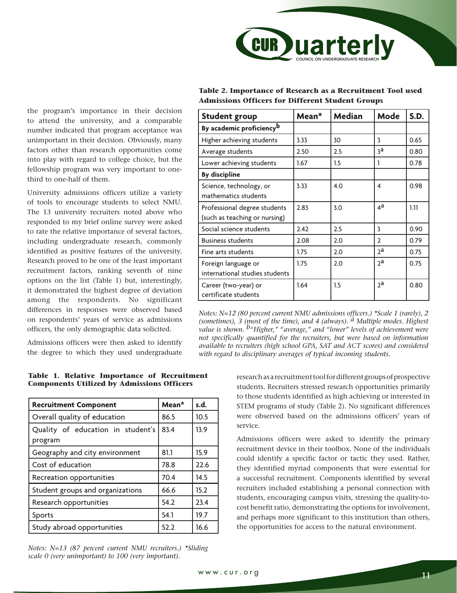

# the program's importance in their decision to attend the university, and a comparable number indicated that program acceptance was unimportant in their decision. Obviously, many factors other than research opportunities come into play with regard to college choice, but the fellowship program was very important to onethird to one-half of them.

University admissions officers utilize a variety of tools to encourage students to select NMU. The 13 university recruiters noted above who responded to my brief online survey were asked to rate the relative importance of several factors, including undergraduate research, commonly identified as positive features of the university. Research proved to be one of the least important recruitment factors, ranking seventh of nine options on the list (Table 1) but, interestingly, it demonstrated the highest degree of deviation among the respondents. No significant differences in responses were observed based on respondents' years of service as admissions officers, the only demographic data solicited.

Admissions officers were then asked to identify the degree to which they used undergraduate

#### **Table 1. Relative Importance of Recruitment Components Utilized by Admissions Officers**

| <b>Recruitment Component</b>                 | Mean* | s.d. |
|----------------------------------------------|-------|------|
| Overall quality of education                 | 86.5  | 10.5 |
| Quality of education in student's<br>program | 83.4  | 13.9 |
| Geography and city environment               | 81.1  | 15.9 |
| Cost of education                            | 78.8  | 22.6 |
| Recreation opportunities                     | 70.4  | 14.5 |
| Student groups and organizations             | 66.6  | 15.2 |
| Research opportunities                       | 54.2  | 23.4 |
| Sports                                       | 54.1  | 19.7 |
| Study abroad opportunities                   | 52.2  | 16.6 |

*Notes: N=13 (87 percent current NMU recruiters.) \*Sliding scale 0 (very unimportant) to 100 (very important).*

| Table 2. Importance of Research as a Recruitment Tool used |  |
|------------------------------------------------------------|--|
| <b>Admissions Officers for Different Student Groups</b>    |  |

| <b>Student group</b>                 | Mean* | <b>Median</b> | Mode           | <b>S.D.</b> |
|--------------------------------------|-------|---------------|----------------|-------------|
| By academic proficiency <sup>b</sup> |       |               |                |             |
| Higher achieving students            | 3.33  | 30            | 3              | 0.65        |
| Average students                     | 2.50  | 2.5           | зa             | 0.80        |
| Lower achieving students             | 1.67  | 1.5           | 1              | 0.78        |
| <b>By discipline</b>                 |       |               |                |             |
| Science, technology, or              | 3.33  | 4.0           | 4              | 0.98        |
| mathematics students                 |       |               |                |             |
| Professional degree students         | 2.83  | 3.0           | $4^a$          | 1.11        |
| (such as teaching or nursing)        |       |               |                |             |
| Social science students              | 2.42  | 2.5           | 3              | 0.90        |
| <b>Business students</b>             | 2.08  | 2.0           | $\mathcal{P}$  | 0.79        |
| Fine arts students                   | 1.75  | 2.0           | 2a             | 0.75        |
| Foreign language or                  | 1.75  | 2.0           | 2 <sup>a</sup> | 0.75        |
| international studies students       |       |               |                |             |
| Career (two-year) or                 | 1.64  | 1.5           | <sub>2</sub> a | 0.80        |
| certificate students                 |       |               |                |             |

*Notes: N=12 (80 percent current NMU admissions officers.) \*Scale 1 (rarely), 2 (sometimes), 3 (most of the time), and 4 (always). a Multiple modes. Highest value is shown. b"Higher," "average," and "lower" levels of achievement were not specifically quantified for the recruiters, but were based on information available to recruiters (high school GPA, SAT and ACT scores) and considered with regard to disciplinary averages of typical incoming students.*

> research as a recruitment tool for different groups of prospective students. Recruiters stressed research opportunities primarily to those students identified as high achieving or interested in STEM programs of study (Table 2). No significant differences were observed based on the admissions officers' years of service.

> Admissions officers were asked to identify the primary recruitment device in their toolbox. None of the individuals could identify a specific factor or tactic they used. Rather, they identified myriad components that were essential for a successful recruitment. Components identified by several recruiters included establishing a personal connection with students, encouraging campus visits, stressing the quality-tocost benefit ratio, demonstrating the options for involvement, and perhaps more significant to this institution than others, the opportunities for access to the natural environment.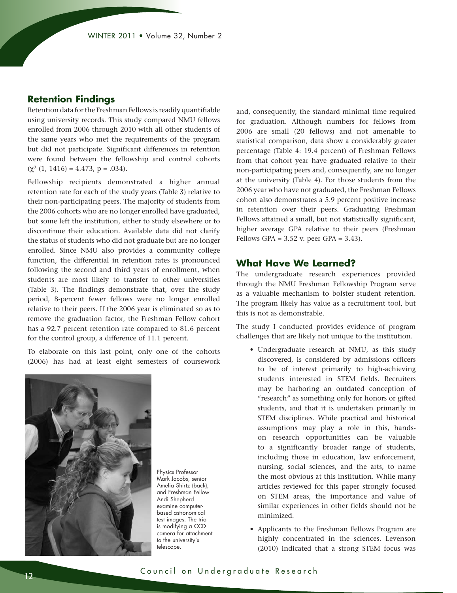# **Retention Findings**

Retention data for the Freshman Fellows is readily quantifiable using university records. This study compared NMU fellows enrolled from 2006 through 2010 with all other students of the same years who met the requirements of the program but did not participate. Significant differences in retention were found between the fellowship and control cohorts  $(\chi^2 (1, 1416) = 4.473, p = .034).$ 

Fellowship recipients demonstrated a higher annual retention rate for each of the study years (Table 3) relative to their non-participating peers. The majority of students from the 2006 cohorts who are no longer enrolled have graduated, but some left the institution, either to study elsewhere or to discontinue their education. Available data did not clarify the status of students who did not graduate but are no longer enrolled. Since NMU also provides a community college function, the differential in retention rates is pronounced following the second and third years of enrollment, when students are most likely to transfer to other universities (Table 3). The findings demonstrate that, over the study period, 8-percent fewer fellows were no longer enrolled relative to their peers. If the 2006 year is eliminated so as to remove the graduation factor, the Freshman Fellow cohort has a 92.7 percent retention rate compared to 81.6 percent for the control group, a difference of 11.1 percent.

To elaborate on this last point, only one of the cohorts (2006) has had at least eight semesters of coursework



Physics Professor Mark Jacobs, senior Amelia Shirtz (back), and Freshman Fellow Andi Shepherd examine computerbased astronomical test images. The trio is modifying a CCD camera for attachment to the university's telescope.

and, consequently, the standard minimal time required for graduation. Although numbers for fellows from 2006 are small (20 fellows) and not amenable to statistical comparison, data show a considerably greater percentage (Table 4: 19.4 percent) of Freshman Fellows from that cohort year have graduated relative to their non-participating peers and, consequently, are no longer at the university (Table 4). For those students from the 2006 year who have not graduated, the Freshman Fellows cohort also demonstrates a 5.9 percent positive increase in retention over their peers. Graduating Freshman Fellows attained a small, but not statistically significant, higher average GPA relative to their peers (Freshman Fellows GPA =  $3.52$  v. peer GPA =  $3.43$ ).

# **What Have We Learned?**

The undergraduate research experiences provided through the NMU Freshman Fellowship Program serve as a valuable mechanism to bolster student retention. The program likely has value as a recruitment tool, but this is not as demonstrable.

The study I conducted provides evidence of program challenges that are likely not unique to the institution.

- Undergraduate research at NMU, as this study discovered, is considered by admissions officers to be of interest primarily to high-achieving students interested in STEM fields. Recruiters may be harboring an outdated conception of "research" as something only for honors or gifted students, and that it is undertaken primarily in STEM disciplines. While practical and historical assumptions may play a role in this, handson research opportunities can be valuable to a significantly broader range of students, including those in education, law enforcement, nursing, social sciences, and the arts, to name the most obvious at this institution. While many articles reviewed for this paper strongly focused on STEM areas, the importance and value of similar experiences in other fields should not be minimized.
- Applicants to the Freshman Fellows Program are highly concentrated in the sciences. Levenson (2010) indicated that a strong STEM focus was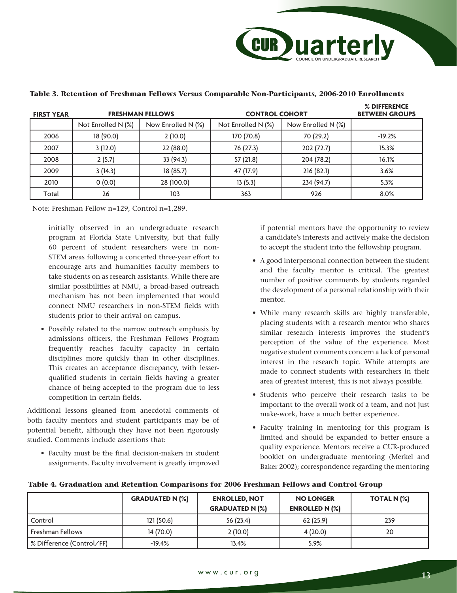

| <b>FIRST YEAR</b> |                    | <b>FRESHMAN FELLOWS</b> | <b>CONTROL COHORT</b> | % DIFFERENCE<br><b>BETWEEN GROUPS</b> |          |
|-------------------|--------------------|-------------------------|-----------------------|---------------------------------------|----------|
|                   | Not Enrolled N (%) | Now Enrolled N (%)      | Not Enrolled N (%)    | Now Enrolled N (%)                    |          |
| 2006              | 18 (90.0)          | 2(10.0)                 | 170 (70.8)            | 70 (29.2)                             | $-19.2%$ |
| 2007              | 3(12.0)            | 22 (88.0)               | 76 (27.3)             | 202 (72.7)                            | 15.3%    |
| 2008              | 2(5.7)             | 33 (94.3)               | 57 (21.8)             | 204 (78.2)                            | 16.1%    |
| 2009              | 3(14.3)            | 18 (85.7)               | 47 (17.9)             | 216 (82.1)                            | 3.6%     |
| 2010              | 0(0.0)             | 28 (100.0)              | 13(5.3)               | 234 (94.7)                            | 5.3%     |
| Total             | 26                 | 103                     | 363                   | 926                                   | 8.0%     |

#### **Table 3. Retention of Freshman Fellows Versus Comparable Non-Participants, 2006-2010 Enrollments**

Note: Freshman Fellow n=129, Control n=1,289.

initially observed in an undergraduate research program at Florida State University, but that fully 60 percent of student researchers were in non-STEM areas following a concerted three-year effort to encourage arts and humanities faculty members to take students on as research assistants. While there are similar possibilities at NMU, a broad-based outreach mechanism has not been implemented that would connect NMU researchers in non-STEM fields with students prior to their arrival on campus.

 • Possibly related to the narrow outreach emphasis by admissions officers, the Freshman Fellows Program frequently reaches faculty capacity in certain disciplines more quickly than in other disciplines. This creates an acceptance discrepancy, with lesserqualified students in certain fields having a greater chance of being accepted to the program due to less competition in certain fields.

Additional lessons gleaned from anecdotal comments of both faculty mentors and student participants may be of potential benefit, although they have not been rigorously studied. Comments include assertions that:

 • Faculty must be the final decision-makers in student assignments. Faculty involvement is greatly improved if potential mentors have the opportunity to review a candidate's interests and actively make the decision to accept the student into the fellowship program.

- A good interpersonal connection between the student and the faculty mentor is critical. The greatest number of positive comments by students regarded the development of a personal relationship with their mentor.
- While many research skills are highly transferable, placing students with a research mentor who shares similar research interests improves the student's perception of the value of the experience. Most negative student comments concern a lack of personal interest in the research topic. While attempts are made to connect students with researchers in their area of greatest interest, this is not always possible.
- Students who perceive their research tasks to be important to the overall work of a team, and not just make-work, have a much better experience.
- Faculty training in mentoring for this program is limited and should be expanded to better ensure a quality experience. Mentors receive a CUR-produced booklet on undergraduate mentoring (Merkel and Baker 2002); correspondence regarding the mentoring

|  |  | Table 4. Graduation and Retention Comparisons for 2006 Freshman Fellows and Control Group |  |  |  |  |  |
|--|--|-------------------------------------------------------------------------------------------|--|--|--|--|--|
|--|--|-------------------------------------------------------------------------------------------|--|--|--|--|--|

|                           | <b>GRADUATED N (%)</b> | <b>ENROLLED, NOT</b><br><b>GRADUATED N (%)</b> | <b>NO LONGER</b><br><b>ENROLLED N (%)</b> | TOTAL N (%) |
|---------------------------|------------------------|------------------------------------------------|-------------------------------------------|-------------|
| Control                   | 121(50.6)              | 56(23.4)                                       | 62(25.9)                                  | 239         |
| Freshman Fellows          | 14 (70.0)              | 2(10.0)                                        | 4(20.0)                                   | 20          |
| S Difference (Control∕FF) | $-19.4%$               | 13.4%                                          | 5.9%                                      |             |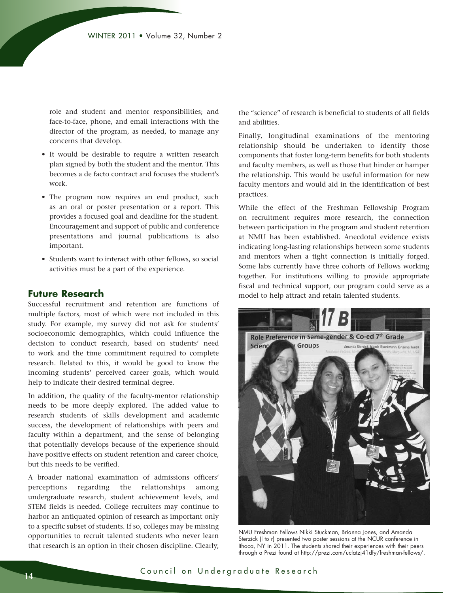role and student and mentor responsibilities; and face-to-face, phone, and email interactions with the director of the program, as needed, to manage any concerns that develop.

- It would be desirable to require a written research plan signed by both the student and the mentor. This becomes a de facto contract and focuses the student's work.
- The program now requires an end product, such as an oral or poster presentation or a report. This provides a focused goal and deadline for the student. Encouragement and support of public and conference presentations and journal publications is also important.
- Students want to interact with other fellows, so social activities must be a part of the experience.

# **Future Research**

Successful recruitment and retention are functions of multiple factors, most of which were not included in this study. For example, my survey did not ask for students' socioeconomic demographics, which could influence the decision to conduct research, based on students' need to work and the time commitment required to complete research. Related to this, it would be good to know the incoming students' perceived career goals, which would help to indicate their desired terminal degree.

In addition, the quality of the faculty-mentor relationship needs to be more deeply explored. The added value to research students of skills development and academic success, the development of relationships with peers and faculty within a department, and the sense of belonging that potentially develops because of the experience should have positive effects on student retention and career choice, but this needs to be verified.

A broader national examination of admissions officers' perceptions regarding the relationships among undergraduate research, student achievement levels, and STEM fields is needed. College recruiters may continue to harbor an antiquated opinion of research as important only to a specific subset of students. If so, colleges may be missing opportunities to recruit talented students who never learn that research is an option in their chosen discipline. Clearly,

the "science" of research is beneficial to students of all fields and abilities.

Finally, longitudinal examinations of the mentoring relationship should be undertaken to identify those components that foster long-term benefits for both students and faculty members, as well as those that hinder or hamper the relationship. This would be useful information for new faculty mentors and would aid in the identification of best practices.

While the effect of the Freshman Fellowship Program on recruitment requires more research, the connection between participation in the program and student retention at NMU has been established. Anecdotal evidence exists indicating long-lasting relationships between some students and mentors when a tight connection is initially forged. Some labs currently have three cohorts of Fellows working together. For institutions willing to provide appropriate fiscal and technical support, our program could serve as a model to help attract and retain talented students.



NMU Freshman Fellows Nikki Stuckman, Brianna Jones, and Amanda Sterzick (l to r) presented two poster sessions at the NCUR conference in Ithaca, NY in 2011. The students shared their experiences with their peers through a Prezi found at http://prezi.com/uclatzj41dfy/freshman-fellows/.